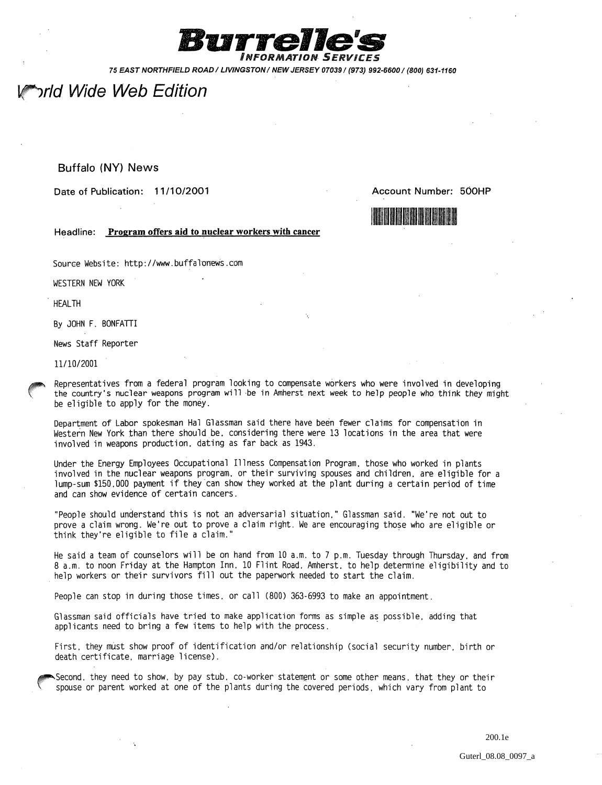

75 EAST NORTHFIELD ROAD / LIVINGSTON / NEW JERSEY 07039/ (973) 992-6600/(800) 631-1160

## ้*ำrld Wide Web Edition*

## Buffalo (NY) News

Date of Publication: 11/10/2001

Account Number: 500HP



Headline: Program offers aid to nuclear workers with cancer

Source Website: http://www.buffalonews.com

WESTERN NEW YORK

. HEALTH

By JOHN F. BONFATTI

News Staff Reporter

*11110/2001* 

Representatives from a federal program looking to compensate workers who were involved in developing the country's nuclear weapons program will be in Amherst next week to help people who think *they* might be eligible to apply for the money.

Department of Labor spokesman Hal Glassman said there have been fewer claims for compensation in Western New York than there should be, considering there were 13 locations in the area that were involved in weapons production. dating as far back as 1943.

Under the Energy Employees Occupational Illness Compensation Program. those who worked in plants involved in the nuclear weapons program. or their surviving spouses and children. are eligible for a lump-sum \$150.000 payment if they'can show they worked at the plant during a certain period of time and can show evidence of certain cancers.

"People should understand this is not an adversarial situation." Glassman said. "We're not out to prove a claim wrong. We're out to prove a claim right. We are encouraging those who are eligible or think they're eligible to file a claim."

He said a team of counselors will be on hand from 10 a.m. to 7 p.m. Tuesday through Thursday. and from 8 a.m. to noon Friday at the Hampton Inn. 10 Flint Road. Amherst. to help determine eligibility and to . help workers or their survivors fill out the paperwork needed to start the claim.

People can stop in during those times. or call (800) 363-6993 to make an appointment.

Glassman said officials have tried to make application forms as simple as possible. adding that applicants need to bring a few items to help with the process. .

First. they must show proof of identification and/or relationship (social security number. birth or death certificate. marriage license).

~Second. they need to show. by pay stub. co-worker statement or some other means. that they or their<br>spouse or parent worked at one of the plants during the covered periods. which vary from plant to